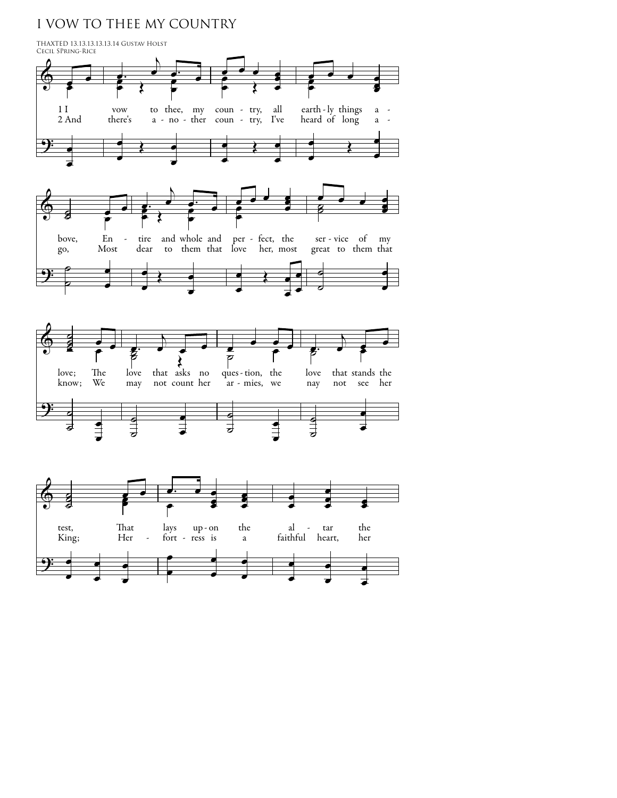## I VOW TO THEE MY COUNTRY

œ



œ

œ